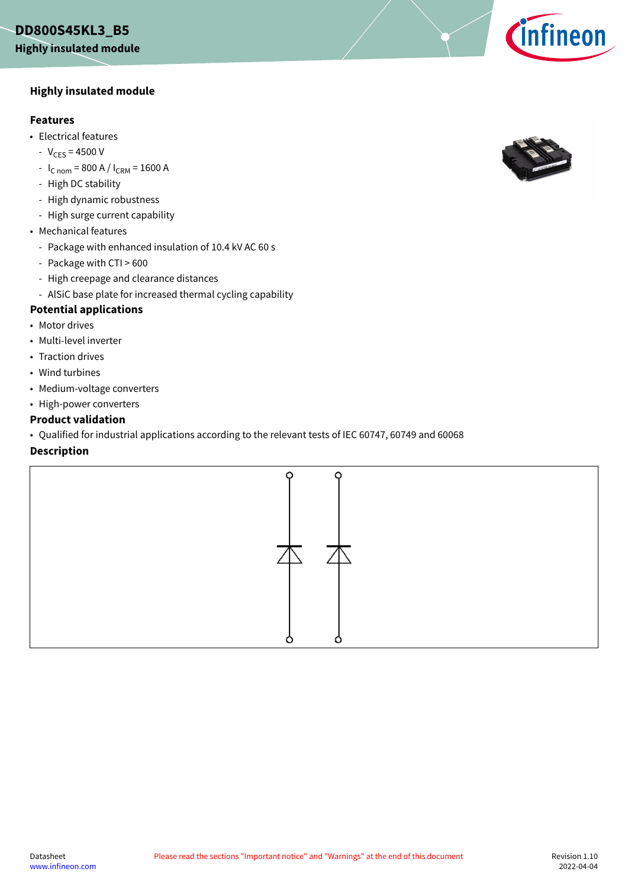### <span id="page-0-0"></span>**DD800S45KL3\_B5**

#### **Highly insulated module**

#### **Features**

- Electrical features
	- $-V_{CES} = 4500 V$
	- $I_{C \text{nom}} = 800 \text{ A} / I_{CRM} = 1600 \text{ A}$
	- High DC stability
	- High dynamic robustness
	- High surge current capability
- Mechanical features
	- Package with enhanced insulation of 10.4 kV AC 60 s
	- Package with CTI > 600
	- High creepage and clearance distances
	- AlSiC base plate for increased thermal cycling capability

### **Potential applications**

- Motor drives
- Multi-level inverter
- Traction drives
- Wind turbines
- Medium-voltage converters
- High-power converters

#### **Product validation**

• Qualified for industrial applications according to the relevant tests of IEC 60747, 60749 and 60068

#### **Description**





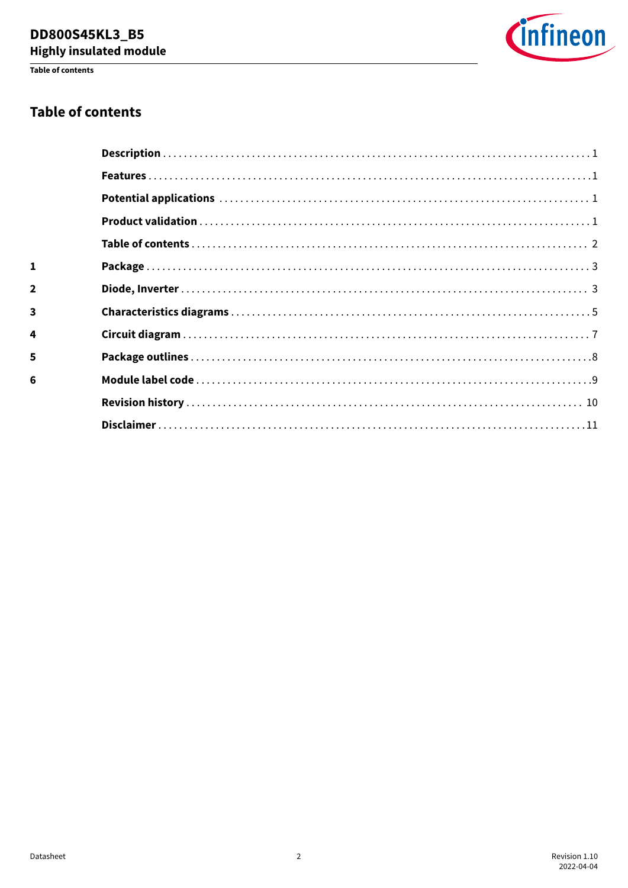Table of contents



# **Table of contents**

| $\mathbf{1}$ |  |
|--------------|--|
| $\mathbf{2}$ |  |
| 3            |  |
| 4            |  |
| 5            |  |
| 6            |  |
|              |  |
|              |  |
|              |  |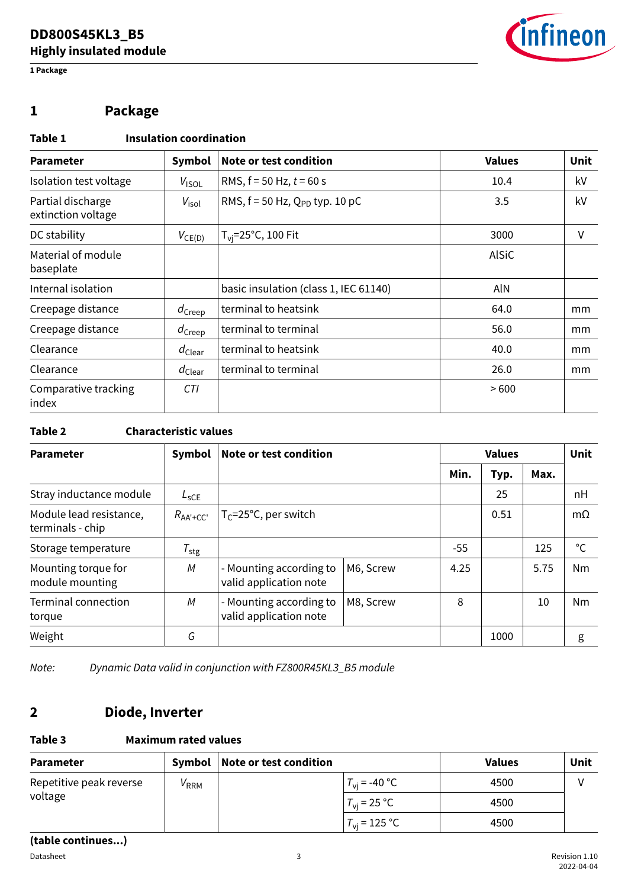

<span id="page-2-0"></span>**1 Package**

## **1 Package**

### **Table 1 Insulation coordination**

| <b>Parameter</b>                        | Symbol               | <b>Note or test condition</b>         | <b>Values</b> | <b>Unit</b> |
|-----------------------------------------|----------------------|---------------------------------------|---------------|-------------|
| Isolation test voltage                  | $V_{ISOL}$           | RMS, $f = 50$ Hz, $t = 60$ s          | 10.4          | kV          |
| Partial discharge<br>extinction voltage | $V_{\rm isol}$       | RMS, $f = 50$ Hz, $Q_{PD}$ typ. 10 pC | 3.5           | kV          |
| DC stability                            | $V_{CE(D)}$          | $T_{\text{vi}}$ =25°C, 100 Fit        | 3000          | V           |
| Material of module<br>baseplate         |                      |                                       | <b>AlSiC</b>  |             |
| Internal isolation                      |                      | basic insulation (class 1, IEC 61140) | AIN           |             |
| Creepage distance                       | $d_{\text{Creep}}$   | terminal to heatsink                  | 64.0          | mm          |
| Creepage distance                       | $d_{\text{Creep}}$   | terminal to terminal                  | 56.0          | mm          |
| Clearance                               | $d_{\mathsf{Clear}}$ | terminal to heatsink                  | 40.0          | mm          |
| Clearance                               | $d_{\mathsf{Clear}}$ | terminal to terminal                  | 26.0          | mm          |
| Comparative tracking<br>index           | <b>CTI</b>           |                                       | >600          |             |

#### **Table 2 Characteristic values**

| <b>Parameter</b>                            | Symbol        | Note or test condition                            |           |      | <b>Values</b> |      |           |
|---------------------------------------------|---------------|---------------------------------------------------|-----------|------|---------------|------|-----------|
|                                             |               |                                                   |           | Min. | Typ.          | Max. |           |
| Stray inductance module                     | $L_{SCE}$     |                                                   |           |      | 25            |      | nH        |
| Module lead resistance,<br>terminals - chip | $R_{AA'+CC'}$ | $T_C = 25^{\circ}C$ , per switch                  |           |      | 0.51          |      | $m\Omega$ |
| Storage temperature                         | $T_{\sf stg}$ |                                                   |           | -55  |               | 125  | °C        |
| Mounting torque for<br>module mounting      | M             | - Mounting according to<br>valid application note | M6, Screw | 4.25 |               | 5.75 | Nm        |
| <b>Terminal connection</b><br>torque        | M             | - Mounting according to<br>valid application note | M8, Screw | 8    |               | 10   | Nm        |
| Weight                                      | G             |                                                   |           |      | 1000          |      | g         |

*Note: Dynamic Data valid in conjunction with FZ800R45KL3\_B5 module*

## **2 Diode, Inverter**

#### **Table 3 Maximum rated values**

| <b>Parameter</b>        | Symbol           | Note or test condition |                       | <b>Values</b> | Unit |
|-------------------------|------------------|------------------------|-----------------------|---------------|------|
| Repetitive peak reverse | <sup>V</sup> RRM |                        | $T_{\rm vi}$ = -40 °C | 4500          |      |
| voltage                 |                  |                        | $T_{\rm vi}$ = 25 °C  | 4500          |      |
|                         |                  |                        | $T_{\rm vi}$ = 125 °C | 4500          |      |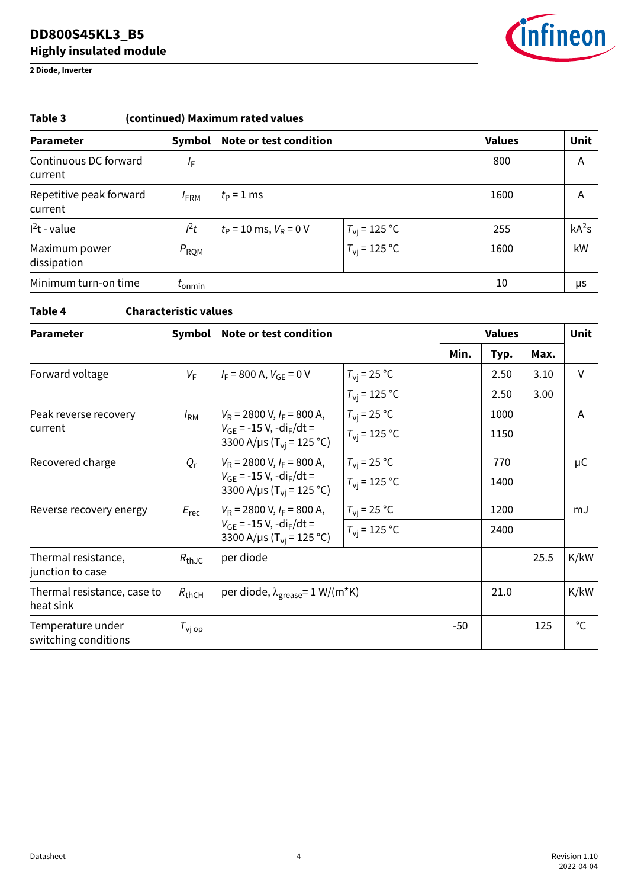**2 Diode, Inverter**



| Table 3<br>(continued) Maximum rated values |                          |                            |                       |               |             |  |  |
|---------------------------------------------|--------------------------|----------------------------|-----------------------|---------------|-------------|--|--|
| <b>Parameter</b>                            | Symbol                   | Note or test condition     |                       | <b>Values</b> | <b>Unit</b> |  |  |
| Continuous DC forward<br>current            | $I_{\rm F}$              |                            |                       | 800           | Α           |  |  |
| Repetitive peak forward<br>current          | $I_{\text{FRM}}$         | $t_{\rm P}$ = 1 ms         |                       | 1600          | Α           |  |  |
| $l^2t$ - value                              | $l^2t$                   | $t_P = 10$ ms, $V_R = 0$ V | $T_{\rm vi}$ = 125 °C | 255           | $kA^2s$     |  |  |
| Maximum power<br>dissipation                | $P_{\rm RQM}$            |                            | $T_{\rm vi}$ = 125 °C | 1600          | kW          |  |  |
| Minimum turn-on time                        | $\iota$ <sub>onmin</sub> |                            |                       | 10            | μs          |  |  |

### **Table 4 Characteristic values**

| <b>Parameter</b>                          | Symbol                       | Note or test condition                                                                                                   |                         |      | <b>Values</b> |      |              |
|-------------------------------------------|------------------------------|--------------------------------------------------------------------------------------------------------------------------|-------------------------|------|---------------|------|--------------|
|                                           |                              |                                                                                                                          |                         | Min. | Typ.          | Max. |              |
| Forward voltage                           | $V_F$                        | $I_F$ = 800 A, $V_{GE}$ = 0 V                                                                                            | $T_{\rm vi}$ = 25 °C    |      | 2.50          | 3.10 | $\vee$       |
|                                           |                              |                                                                                                                          | $T_{\rm vi}$ = 125 °C   |      | 2.50          | 3.00 |              |
| Peak reverse recovery                     | $I_{\rm RM}$                 | $V_R$ = 2800 V, $I_F$ = 800 A,                                                                                           | $T_{\text{vi}}$ = 25 °C |      | 1000          |      | A            |
| current                                   |                              | $V_{GF}$ = -15 V, -di <sub>F</sub> /dt =<br>3300 A/µs (T <sub>vi</sub> = 125 °C)                                         | $T_{\rm vi}$ = 125 °C   |      | 1150          |      |              |
| Recovered charge                          | $Q_{r}$                      | $V_{\rm R}$ = 2800 V, $I_{\rm F}$ = 800 A,<br>$V_{GE}$ = -15 V, -di <sub>F</sub> /dt =<br>3300 A/µs ( $T_{vi}$ = 125 °C) | $T_{\rm vi}$ = 25 °C    |      | 770           |      | $\mu$ C      |
|                                           |                              |                                                                                                                          | $T_{\rm vi}$ = 125 °C   |      | 1400          |      |              |
| Reverse recovery energy                   | $E_{rec}$                    | $V_R$ = 2800 V, $I_F$ = 800 A,                                                                                           | $T_{\rm vi}$ = 25 °C    |      | 1200          |      | mJ           |
|                                           |                              | $V_{GF}$ = -15 V, -di <sub>F</sub> /dt =<br>3300 A/µs (T <sub>vj</sub> = 125 °C)                                         | $T_{\rm vi}$ = 125 °C   |      | 2400          |      |              |
| Thermal resistance,<br>junction to case   | $R_{\text{thJC}}$            | per diode                                                                                                                |                         |      |               | 25.5 | K/kW         |
| Thermal resistance, case to<br>heat sink  | $R_{thCH}$                   | per diode, $\lambda_{\text{grease}} = 1 \text{ W/(m*K)}$                                                                 |                         |      | 21.0          |      | K/kW         |
| Temperature under<br>switching conditions | $T_{\mathsf{v} \mathsf{op}}$ |                                                                                                                          |                         | -50  |               | 125  | $^{\circ}$ C |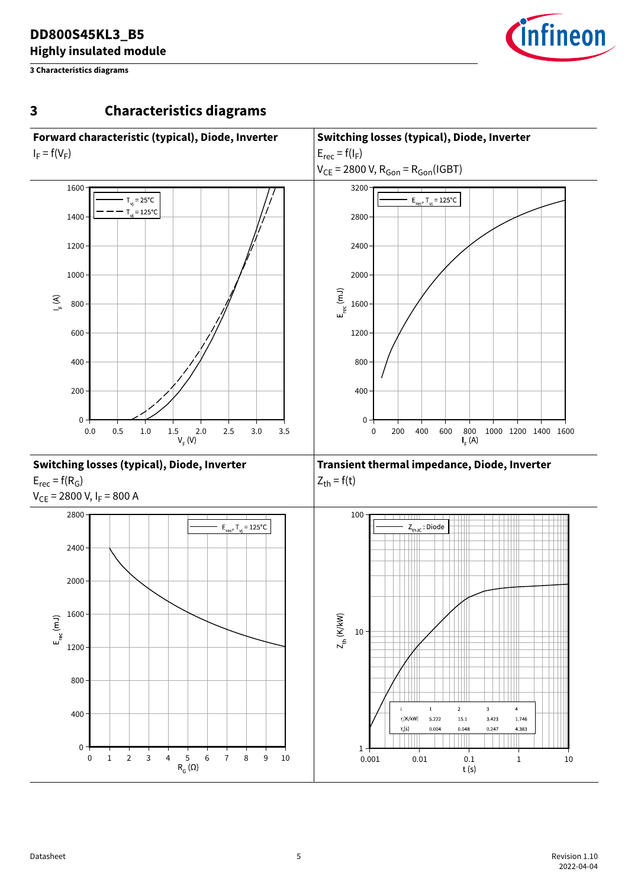<span id="page-4-0"></span>**3 Characteristics diagrams**



## **3 Characteristics diagrams**

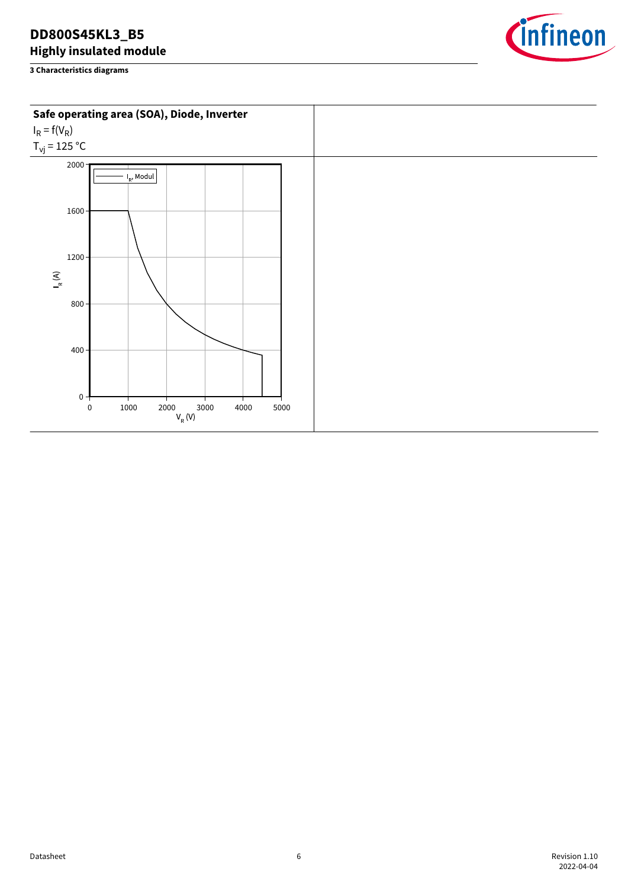**3 Characteristics diagrams**



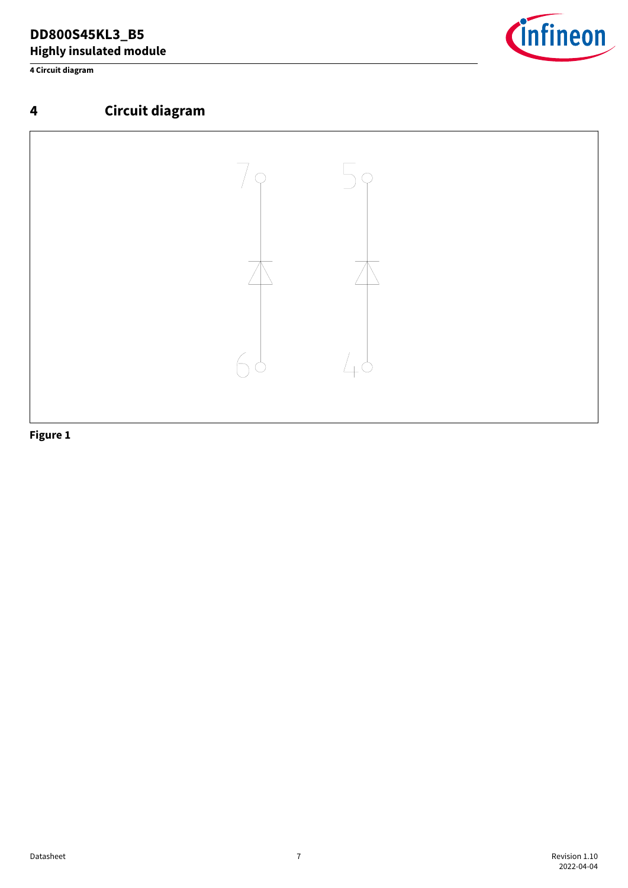<span id="page-6-0"></span>**4 Circuit diagram**







**Figure 1**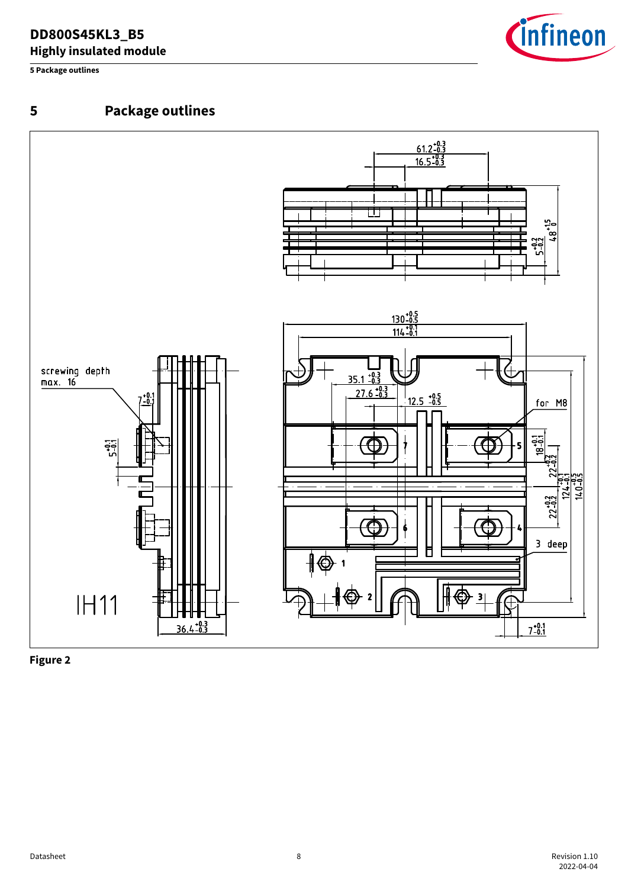<span id="page-7-0"></span>**5 Package outlines**







**Figure 2**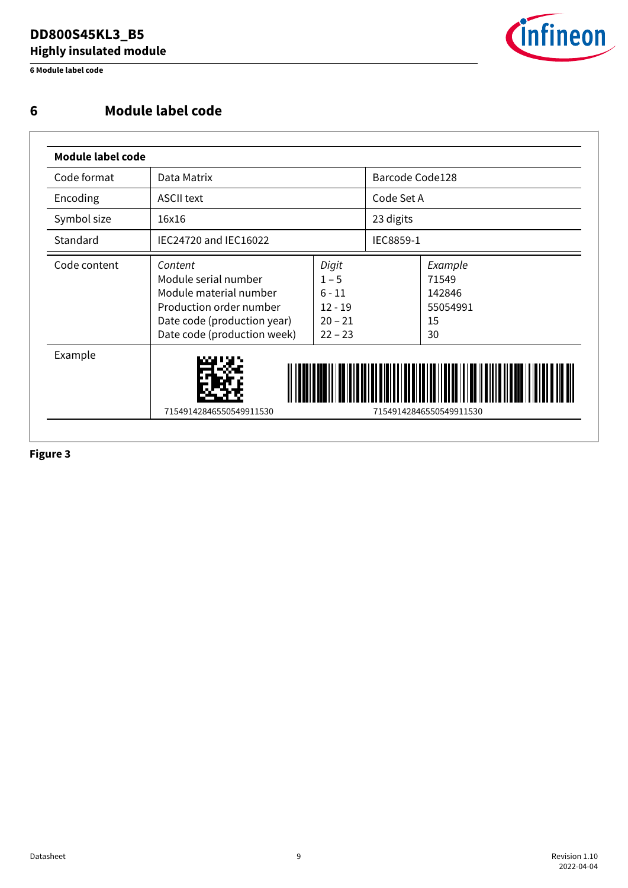<span id="page-8-0"></span>**6 Module label code**



## **6 Module label code**

| Code format  | Data Matrix                                                                                                                                        |                                                                     | Barcode Code128 |                                                    |
|--------------|----------------------------------------------------------------------------------------------------------------------------------------------------|---------------------------------------------------------------------|-----------------|----------------------------------------------------|
| Encoding     | <b>ASCII text</b>                                                                                                                                  |                                                                     | Code Set A      |                                                    |
| Symbol size  | 16x16                                                                                                                                              |                                                                     | 23 digits       |                                                    |
| Standard     | IEC24720 and IEC16022                                                                                                                              |                                                                     | IEC8859-1       |                                                    |
| Code content | Content<br>Module serial number<br>Module material number<br>Production order number<br>Date code (production year)<br>Date code (production week) | Digit<br>$1 - 5$<br>$6 - 11$<br>$12 - 19$<br>$20 - 21$<br>$22 - 23$ |                 | Example<br>71549<br>142846<br>55054991<br>15<br>30 |
| Example      | 71549142846550549911530                                                                                                                            |                                                                     |                 | 71549142846550549911530                            |

**Figure 3**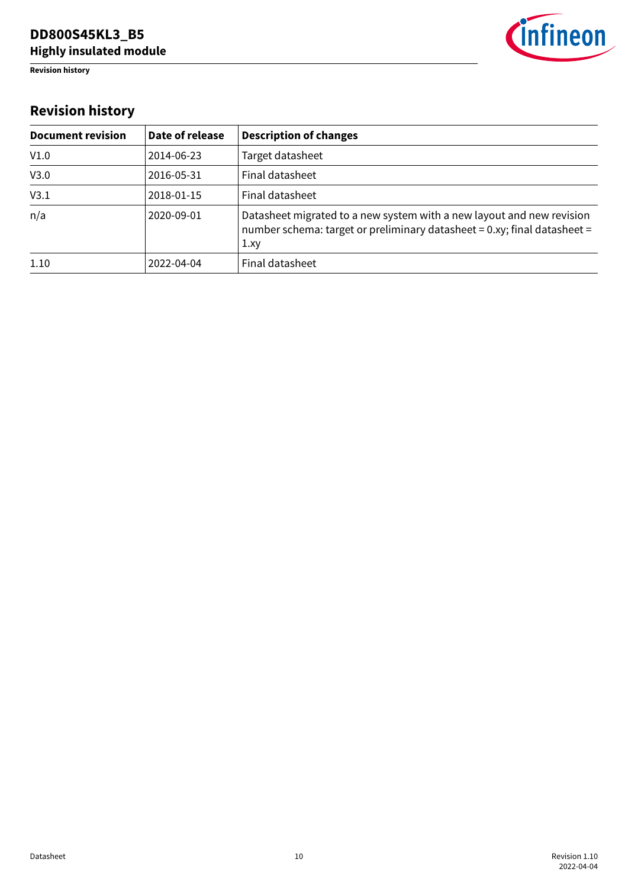<span id="page-9-0"></span>**Revision history**



# **Revision history**

| <b>Document revision</b> | Date of release | <b>Description of changes</b>                                                                                                                            |
|--------------------------|-----------------|----------------------------------------------------------------------------------------------------------------------------------------------------------|
| V1.0                     | 2014-06-23      | Target datasheet                                                                                                                                         |
| V3.0                     | 2016-05-31      | Final datasheet                                                                                                                                          |
| V3.1                     | 2018-01-15      | Final datasheet                                                                                                                                          |
| n/a                      | 2020-09-01      | Datasheet migrated to a new system with a new layout and new revision<br>number schema: target or preliminary datasheet = 0.xy; final datasheet =<br>1xy |
| 1.10                     | 2022-04-04      | Final datasheet                                                                                                                                          |